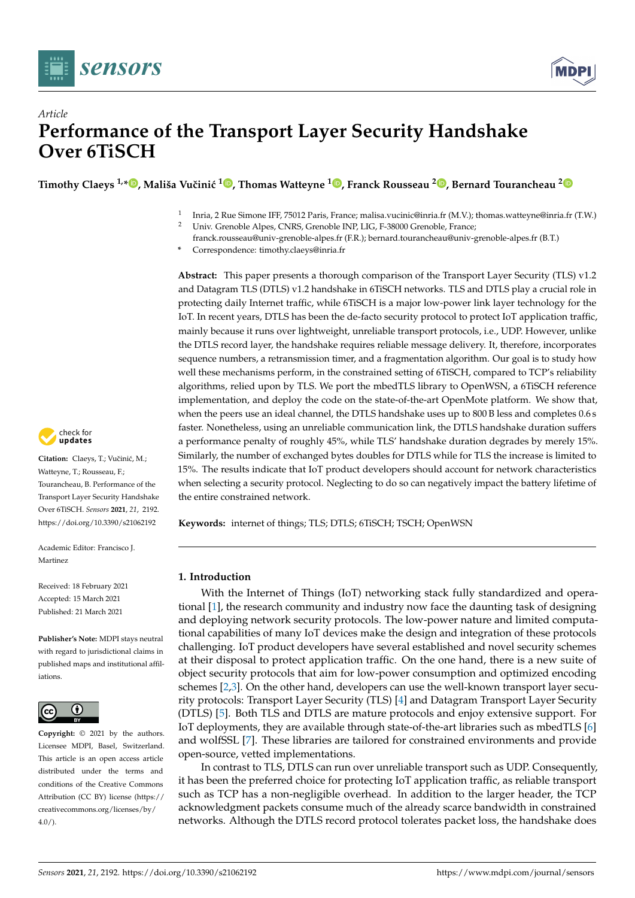



# *Article* **Performance of the Transport Layer Security Handshake Over 6TiSCH**

**Timothy Claeys 1,\* [,](https://orcid.org/0000-0002-9438-6471) Mališa Vuˇcini´c <sup>1</sup> [,](https://orcid.org/0000-0002-7700-9121) Thomas Watteyne <sup>1</sup> [,](https://orcid.org/0000-0002-3695-9315) Franck Rousseau <sup>2</sup> [,](https://orcid.org/0000-0002-8665-6603) Bernard Tourancheau [2](https://orcid.org/0000-0001-6502-9689)**

- 1 Inria, 2 Rue Simone IFF, 75012 Paris, France; malisa.vucinic@inria.fr (M.V.); thomas.watteyne@inria.fr (T.W.)
- <sup>2</sup> Univ. Grenoble Alpes, CNRS, Grenoble INP, LIG, F-38000 Grenoble, France;
- franck.rousseau@univ-grenoble-alpes.fr (F.R.); bernard.tourancheau@univ-grenoble-alpes.fr (B.T.)
- **\*** Correspondence: timothy.claeys@inria.fr

**Abstract:** This paper presents a thorough comparison of the Transport Layer Security (TLS) v1.2 and Datagram TLS (DTLS) v1.2 handshake in 6TiSCH networks. TLS and DTLS play a crucial role in protecting daily Internet traffic, while 6TiSCH is a major low-power link layer technology for the IoT. In recent years, DTLS has been the de-facto security protocol to protect IoT application traffic, mainly because it runs over lightweight, unreliable transport protocols, i.e., UDP. However, unlike the DTLS record layer, the handshake requires reliable message delivery. It, therefore, incorporates sequence numbers, a retransmission timer, and a fragmentation algorithm. Our goal is to study how well these mechanisms perform, in the constrained setting of 6TiSCH, compared to TCP's reliability algorithms, relied upon by TLS. We port the mbedTLS library to OpenWSN, a 6TiSCH reference implementation, and deploy the code on the state-of-the-art OpenMote platform. We show that, when the peers use an ideal channel, the DTLS handshake uses up to 800 B less and completes 0.6 s faster. Nonetheless, using an unreliable communication link, the DTLS handshake duration suffers a performance penalty of roughly 45%, while TLS' handshake duration degrades by merely 15%. Similarly, the number of exchanged bytes doubles for DTLS while for TLS the increase is limited to 15%. The results indicate that IoT product developers should account for network characteristics when selecting a security protocol. Neglecting to do so can negatively impact the battery lifetime of the entire constrained network.

**Keywords:** internet of things; TLS; DTLS; 6TiSCH; TSCH; OpenWSN

## **1. Introduction**

With the Internet of Things (IoT) networking stack fully standardized and operational [\[1\]](#page-19-0), the research community and industry now face the daunting task of designing and deploying network security protocols. The low-power nature and limited computational capabilities of many IoT devices make the design and integration of these protocols challenging. IoT product developers have several established and novel security schemes at their disposal to protect application traffic. On the one hand, there is a new suite of object security protocols that aim for low-power consumption and optimized encoding schemes [\[2](#page-19-1)[,3\]](#page-19-2). On the other hand, developers can use the well-known transport layer security protocols: Transport Layer Security (TLS) [\[4\]](#page-19-3) and Datagram Transport Layer Security (DTLS) [\[5\]](#page-19-4). Both TLS and DTLS are mature protocols and enjoy extensive support. For IoT deployments, they are available through state-of-the-art libraries such as mbedTLS [\[6\]](#page-19-5) and wolfSSL [\[7\]](#page-19-6). These libraries are tailored for constrained environments and provide open-source, vetted implementations.

In contrast to TLS, DTLS can run over unreliable transport such as UDP. Consequently, it has been the preferred choice for protecting IoT application traffic, as reliable transport such as TCP has a non-negligible overhead. In addition to the larger header, the TCP acknowledgment packets consume much of the already scarce bandwidth in constrained networks. Although the DTLS record protocol tolerates packet loss, the handshake does



Citation: Claeys, T.; Vučinić, M.; Watteyne, T.; Rousseau, F.; Tourancheau, B. Performance of the Transport Layer Security Handshake Over 6TiSCH. *Sensors* **2021**, *21*, 2192. <https://doi.org/10.3390/s21062192>

Academic Editor: Francisco J. Martinez

Received: 18 February 2021 Accepted: 15 March 2021 Published: 21 March 2021

**Publisher's Note:** MDPI stays neutral with regard to jurisdictional claims in published maps and institutional affiliations.



**Copyright:** © 2021 by the authors. Licensee MDPI, Basel, Switzerland. This article is an open access article distributed under the terms and conditions of the Creative Commons Attribution (CC BY) license (https:/[/](https://creativecommons.org/licenses/by/4.0/) [creativecommons.org/licenses/by/](https://creativecommons.org/licenses/by/4.0/)  $4.0/$ ).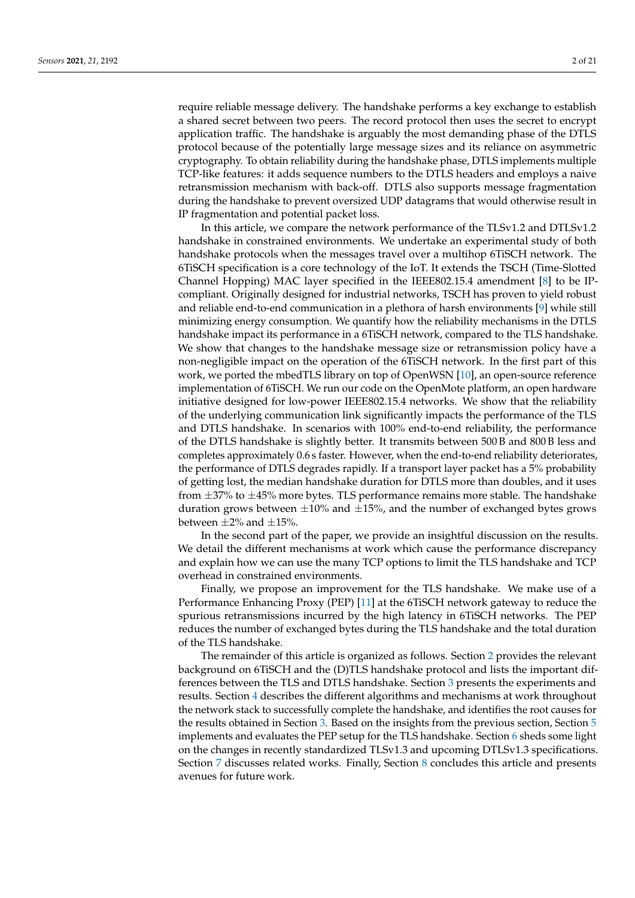require reliable message delivery. The handshake performs a key exchange to establish a shared secret between two peers. The record protocol then uses the secret to encrypt application traffic. The handshake is arguably the most demanding phase of the DTLS protocol because of the potentially large message sizes and its reliance on asymmetric cryptography. To obtain reliability during the handshake phase, DTLS implements multiple TCP-like features: it adds sequence numbers to the DTLS headers and employs a naive retransmission mechanism with back-off. DTLS also supports message fragmentation during the handshake to prevent oversized UDP datagrams that would otherwise result in IP fragmentation and potential packet loss.

In this article, we compare the network performance of the TLSv1.2 and DTLSv1.2 handshake in constrained environments. We undertake an experimental study of both handshake protocols when the messages travel over a multihop 6TiSCH network. The 6TiSCH specification is a core technology of the IoT. It extends the TSCH (Time-Slotted Channel Hopping) MAC layer specified in the IEEE802.15.4 amendment [\[8\]](#page-19-7) to be IPcompliant. Originally designed for industrial networks, TSCH has proven to yield robust and reliable end-to-end communication in a plethora of harsh environments [\[9\]](#page-19-8) while still minimizing energy consumption. We quantify how the reliability mechanisms in the DTLS handshake impact its performance in a 6TiSCH network, compared to the TLS handshake. We show that changes to the handshake message size or retransmission policy have a non-negligible impact on the operation of the 6TiSCH network. In the first part of this work, we ported the mbedTLS library on top of OpenWSN [\[10\]](#page-19-9), an open-source reference implementation of 6TiSCH. We run our code on the OpenMote platform, an open hardware initiative designed for low-power IEEE802.15.4 networks. We show that the reliability of the underlying communication link significantly impacts the performance of the TLS and DTLS handshake. In scenarios with 100% end-to-end reliability, the performance of the DTLS handshake is slightly better. It transmits between 500 B and 800 B less and completes approximately 0.6 s faster. However, when the end-to-end reliability deteriorates, the performance of DTLS degrades rapidly. If a transport layer packet has a 5% probability of getting lost, the median handshake duration for DTLS more than doubles, and it uses from  $\pm$ 37% to  $\pm$ 45% more bytes. TLS performance remains more stable. The handshake duration grows between  $\pm 10\%$  and  $\pm 15\%$ , and the number of exchanged bytes grows between  $\pm 2\%$  and  $\pm 15\%$ .

In the second part of the paper, we provide an insightful discussion on the results. We detail the different mechanisms at work which cause the performance discrepancy and explain how we can use the many TCP options to limit the TLS handshake and TCP overhead in constrained environments.

Finally, we propose an improvement for the TLS handshake. We make use of a Performance Enhancing Proxy (PEP) [\[11\]](#page-19-10) at the 6TiSCH network gateway to reduce the spurious retransmissions incurred by the high latency in 6TiSCH networks. The PEP reduces the number of exchanged bytes during the TLS handshake and the total duration of the TLS handshake.

The remainder of this article is organized as follows. Section [2](#page-2-0) provides the relevant background on 6TiSCH and the (D)TLS handshake protocol and lists the important differences between the TLS and DTLS handshake. Section [3](#page-7-0) presents the experiments and results. Section [4](#page-11-0) describes the different algorithms and mechanisms at work throughout the network stack to successfully complete the handshake, and identifies the root causes for the results obtained in Section [3.](#page-7-0) Based on the insights from the previous section, Section [5](#page-16-0) implements and evaluates the PEP setup for the TLS handshake. Section [6](#page-17-0) sheds some light on the changes in recently standardized TLSv1.3 and upcoming DTLSv1.3 specifications. Section [7](#page-17-1) discusses related works. Finally, Section [8](#page-18-0) concludes this article and presents avenues for future work.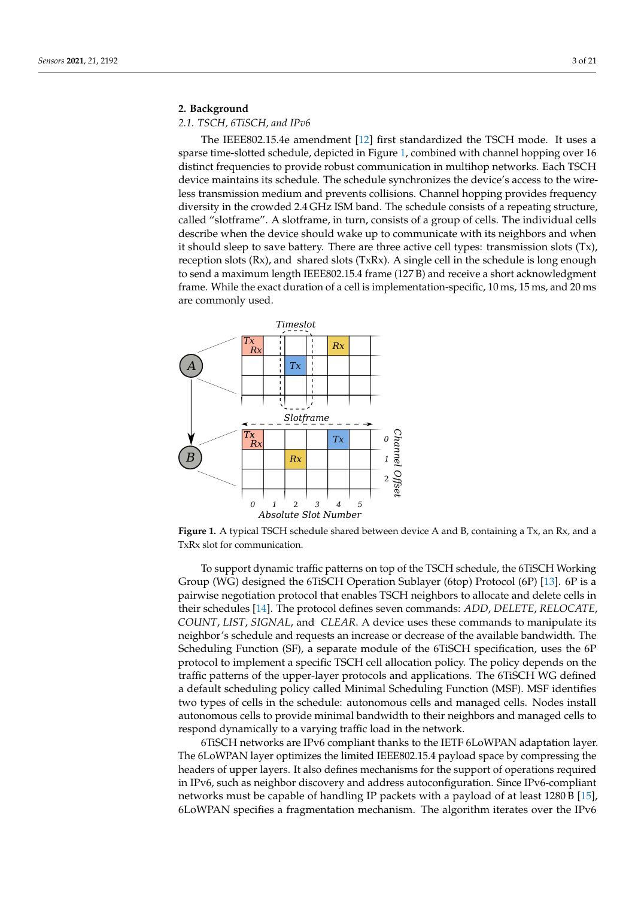## <span id="page-2-0"></span>**2. Background**

## *2.1. TSCH, 6TiSCH, and IPv6*

The IEEE802.15.4e amendment [\[12\]](#page-19-11) first standardized the TSCH mode. It uses a sparse time-slotted schedule, depicted in Figure [1,](#page-2-1) combined with channel hopping over 16 distinct frequencies to provide robust communication in multihop networks. Each TSCH device maintains its schedule. The schedule synchronizes the device's access to the wireless transmission medium and prevents collisions. Channel hopping provides frequency diversity in the crowded 2.4 GHz ISM band. The schedule consists of a repeating structure, called "slotframe". A slotframe, in turn, consists of a group of cells. The individual cells describe when the device should wake up to communicate with its neighbors and when it should sleep to save battery. There are three active cell types: transmission slots  $(Tx)$ , reception slots (Rx), and shared slots (TxRx). A single cell in the schedule is long enough to send a maximum length IEEE802.15.4 frame (127 B) and receive a short acknowledgment frame. While the exact duration of a cell is implementation-specific, 10 ms, 15 ms, and 20 ms are commonly used.

<span id="page-2-1"></span>

Figure 1. A typical TSCH schedule shared between device A and B, containing a Tx, an Rx, and a TxRx slot for communication.

To support dynamic traffic patterns on top of the TSCH schedule, the 6TiSCH Working Group (WG) designed the 6TiSCH Operation Sublayer (6top) Protocol (6P) [\[13\]](#page-19-12). 6P is a pairwise negotiation protocol that enables TSCH neighbors to allocate and delete cells in their schedules [\[14\]](#page-19-13). The protocol defines seven commands: *ADD*, *DELETE*, *RELOCATE*, *COUNT*, *LIST*, *SIGNAL*, and *CLEAR*. A device uses these commands to manipulate its neighbor's schedule and requests an increase or decrease of the available bandwidth. The Scheduling Function (SF), a separate module of the 6TiSCH specification, uses the 6P protocol to implement a specific TSCH cell allocation policy. The policy depends on the traffic patterns of the upper-layer protocols and applications. The 6TiSCH WG defined a default scheduling policy called Minimal Scheduling Function (MSF). MSF identifies two types of cells in the schedule: autonomous cells and managed cells. Nodes install autonomous cells to provide minimal bandwidth to their neighbors and managed cells to respond dynamically to a varying traffic load in the network.

6TiSCH networks are IPv6 compliant thanks to the IETF 6LoWPAN adaptation layer. The 6LoWPAN layer optimizes the limited IEEE802.15.4 payload space by compressing the headers of upper layers. It also defines mechanisms for the support of operations required in IPv6, such as neighbor discovery and address autoconfiguration. Since IPv6-compliant networks must be capable of handling IP packets with a payload of at least 1280 B [\[15\]](#page-19-14), 6LoWPAN specifies a fragmentation mechanism. The algorithm iterates over the IPv6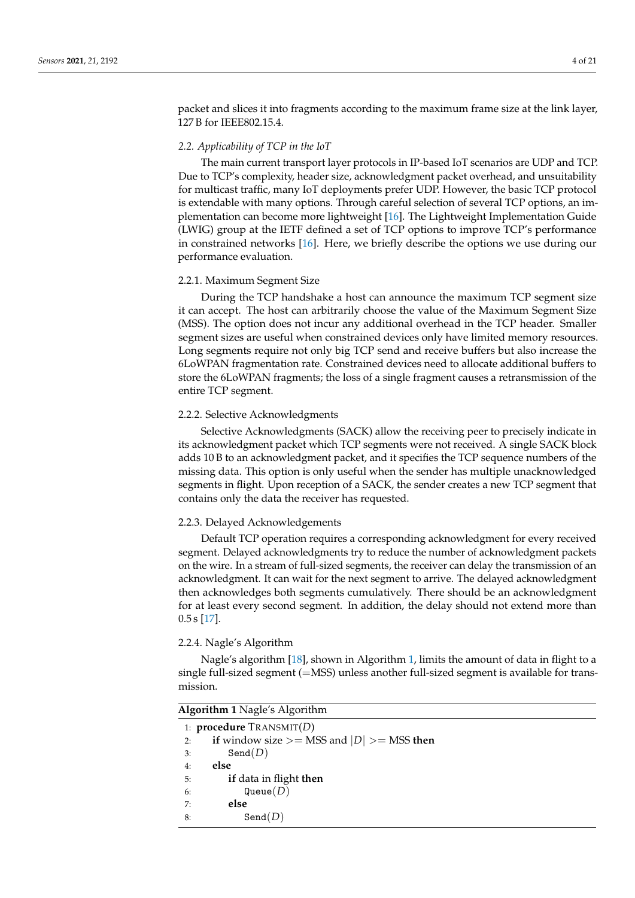packet and slices it into fragments according to the maximum frame size at the link layer, 127 B for IEEE802.15.4.

#### *2.2. Applicability of TCP in the IoT*

The main current transport layer protocols in IP-based IoT scenarios are UDP and TCP. Due to TCP's complexity, header size, acknowledgment packet overhead, and unsuitability for multicast traffic, many IoT deployments prefer UDP. However, the basic TCP protocol is extendable with many options. Through careful selection of several TCP options, an implementation can become more lightweight [\[16\]](#page-19-15). The Lightweight Implementation Guide (LWIG) group at the IETF defined a set of TCP options to improve TCP's performance in constrained networks [\[16\]](#page-19-15). Here, we briefly describe the options we use during our performance evaluation.

#### 2.2.1. Maximum Segment Size

During the TCP handshake a host can announce the maximum TCP segment size it can accept. The host can arbitrarily choose the value of the Maximum Segment Size (MSS). The option does not incur any additional overhead in the TCP header. Smaller segment sizes are useful when constrained devices only have limited memory resources. Long segments require not only big TCP send and receive buffers but also increase the 6LoWPAN fragmentation rate. Constrained devices need to allocate additional buffers to store the 6LoWPAN fragments; the loss of a single fragment causes a retransmission of the entire TCP segment.

#### 2.2.2. Selective Acknowledgments

Selective Acknowledgments (SACK) allow the receiving peer to precisely indicate in its acknowledgment packet which TCP segments were not received. A single SACK block adds 10 B to an acknowledgment packet, and it specifies the TCP sequence numbers of the missing data. This option is only useful when the sender has multiple unacknowledged segments in flight. Upon reception of a SACK, the sender creates a new TCP segment that contains only the data the receiver has requested.

## 2.2.3. Delayed Acknowledgements

Default TCP operation requires a corresponding acknowledgment for every received segment. Delayed acknowledgments try to reduce the number of acknowledgment packets on the wire. In a stream of full-sized segments, the receiver can delay the transmission of an acknowledgment. It can wait for the next segment to arrive. The delayed acknowledgment then acknowledges both segments cumulatively. There should be an acknowledgment for at least every second segment. In addition, the delay should not extend more than  $0.5 s$  [\[17\]](#page-19-16).

#### 2.2.4. Nagle's Algorithm

Nagle's algorithm [\[18\]](#page-19-17), shown in Algorithm [1,](#page-3-0) limits the amount of data in flight to a single full-sized segment (=MSS) unless another full-sized segment is available for transmission.

<span id="page-3-0"></span>

|    | <b>Algorithm 1</b> Nagle's Algorithm            |  |  |  |  |  |  |  |  |
|----|-------------------------------------------------|--|--|--|--|--|--|--|--|
|    | 1: <b>procedure</b> $ext{TRANSMIT}(D)$          |  |  |  |  |  |  |  |  |
| 2: | if window size $>=$ MSS and $ D $ $>=$ MSS then |  |  |  |  |  |  |  |  |
| 3: | Send(D)                                         |  |  |  |  |  |  |  |  |
| 4: | else                                            |  |  |  |  |  |  |  |  |
| 5: | if data in flight then                          |  |  |  |  |  |  |  |  |
| 6: | Queue $(D)$                                     |  |  |  |  |  |  |  |  |
| 7: | else                                            |  |  |  |  |  |  |  |  |
| 8: | Send(D)                                         |  |  |  |  |  |  |  |  |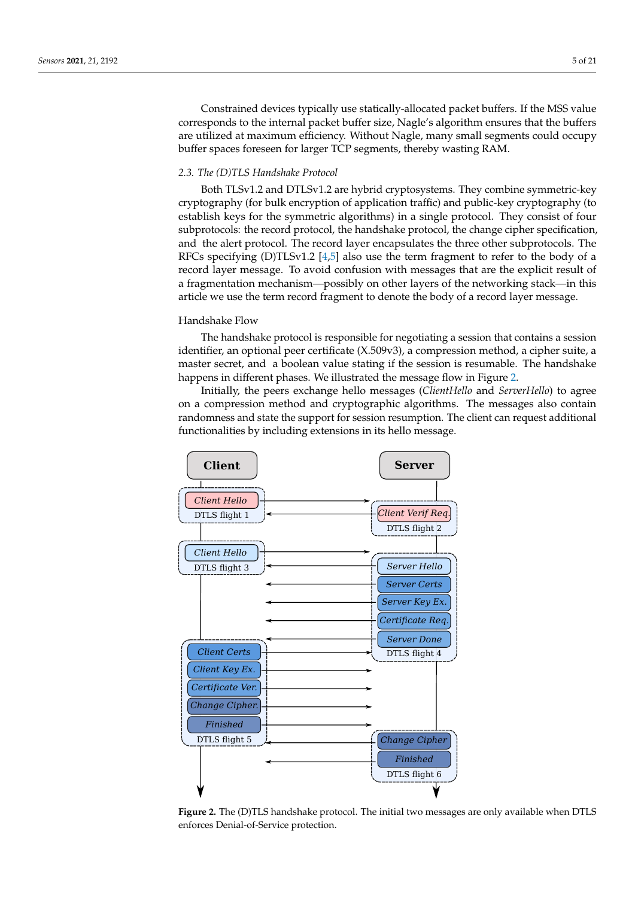Constrained devices typically use statically-allocated packet buffers. If the MSS value corresponds to the internal packet buffer size, Nagle's algorithm ensures that the buffers are utilized at maximum efficiency. Without Nagle, many small segments could occupy buffer spaces foreseen for larger TCP segments, thereby wasting RAM.

## *2.3. The (D)TLS Handshake Protocol*

Both TLSv1.2 and DTLSv1.2 are hybrid cryptosystems. They combine symmetric-key cryptography (for bulk encryption of application traffic) and public-key cryptography (to establish keys for the symmetric algorithms) in a single protocol. They consist of four subprotocols: the record protocol, the handshake protocol, the change cipher specification, and the alert protocol. The record layer encapsulates the three other subprotocols. The RFCs specifying (D)TLSv1.2 [\[4,](#page-19-3)[5\]](#page-19-4) also use the term fragment to refer to the body of a record layer message. To avoid confusion with messages that are the explicit result of a fragmentation mechanism—possibly on other layers of the networking stack—in this article we use the term record fragment to denote the body of a record layer message.

## Handshake Flow

The handshake protocol is responsible for negotiating a session that contains a session identifier, an optional peer certificate (X.509v3), a compression method, a cipher suite, a master secret, and a boolean value stating if the session is resumable. The handshake happens in different phases. We illustrated the message flow in Figure [2.](#page-4-0)

Initially, the peers exchange hello messages (*ClientHello* and *ServerHello*) to agree on a compression method and cryptographic algorithms. The messages also contain randomness and state the support for session resumption. The client can request additional functionalities by including extensions in its hello message.

<span id="page-4-0"></span>

**Figure 2.** The (D)TLS handshake protocol. The initial two messages are only available when DTLS enforces Denial-of-Service protection.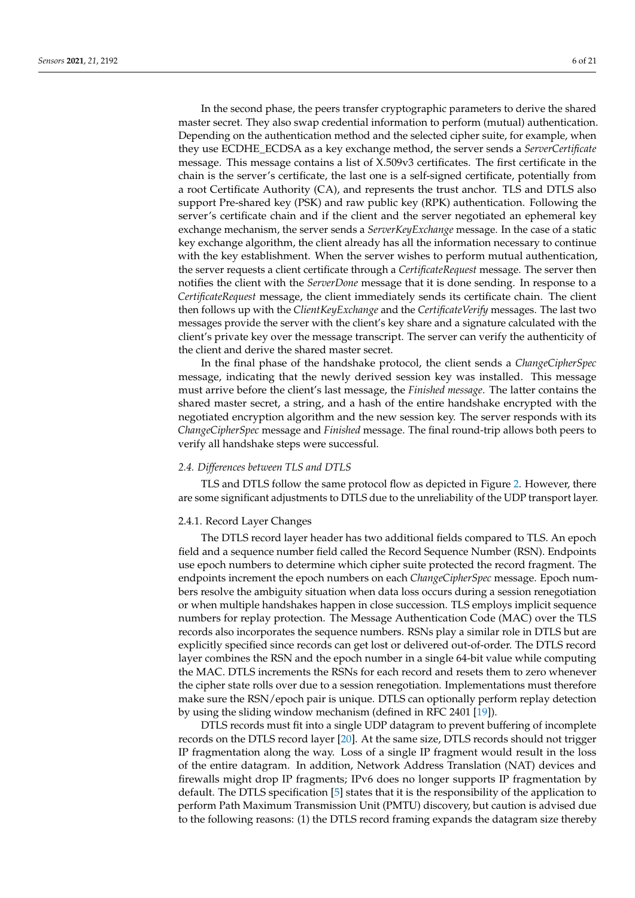In the second phase, the peers transfer cryptographic parameters to derive the shared master secret. They also swap credential information to perform (mutual) authentication. Depending on the authentication method and the selected cipher suite, for example, when they use ECDHE\_ECDSA as a key exchange method, the server sends a *ServerCertificate* message. This message contains a list of X.509v3 certificates. The first certificate in the chain is the server's certificate, the last one is a self-signed certificate, potentially from a root Certificate Authority (CA), and represents the trust anchor. TLS and DTLS also support Pre-shared key (PSK) and raw public key (RPK) authentication. Following the server's certificate chain and if the client and the server negotiated an ephemeral key exchange mechanism, the server sends a *ServerKeyExchange* message. In the case of a static key exchange algorithm, the client already has all the information necessary to continue with the key establishment. When the server wishes to perform mutual authentication, the server requests a client certificate through a *CertificateRequest* message. The server then notifies the client with the *ServerDone* message that it is done sending. In response to a *CertificateRequest* message, the client immediately sends its certificate chain. The client then follows up with the *ClientKeyExchange* and the *CertificateVerify* messages. The last two messages provide the server with the client's key share and a signature calculated with the client's private key over the message transcript. The server can verify the authenticity of the client and derive the shared master secret.

In the final phase of the handshake protocol, the client sends a *ChangeCipherSpec* message, indicating that the newly derived session key was installed. This message must arrive before the client's last message, the *Finished message*. The latter contains the shared master secret, a string, and a hash of the entire handshake encrypted with the negotiated encryption algorithm and the new session key. The server responds with its *ChangeCipherSpec* message and *Finished* message. The final round-trip allows both peers to verify all handshake steps were successful.

#### *2.4. Differences between TLS and DTLS*

TLS and DTLS follow the same protocol flow as depicted in Figure [2.](#page-4-0) However, there are some significant adjustments to DTLS due to the unreliability of the UDP transport layer.

#### 2.4.1. Record Layer Changes

The DTLS record layer header has two additional fields compared to TLS. An epoch field and a sequence number field called the Record Sequence Number (RSN). Endpoints use epoch numbers to determine which cipher suite protected the record fragment. The endpoints increment the epoch numbers on each *ChangeCipherSpec* message. Epoch numbers resolve the ambiguity situation when data loss occurs during a session renegotiation or when multiple handshakes happen in close succession. TLS employs implicit sequence numbers for replay protection. The Message Authentication Code (MAC) over the TLS records also incorporates the sequence numbers. RSNs play a similar role in DTLS but are explicitly specified since records can get lost or delivered out-of-order. The DTLS record layer combines the RSN and the epoch number in a single 64-bit value while computing the MAC. DTLS increments the RSNs for each record and resets them to zero whenever the cipher state rolls over due to a session renegotiation. Implementations must therefore make sure the RSN/epoch pair is unique. DTLS can optionally perform replay detection by using the sliding window mechanism (defined in RFC 2401 [\[19\]](#page-19-18)).

DTLS records must fit into a single UDP datagram to prevent buffering of incomplete records on the DTLS record layer [\[20\]](#page-19-19). At the same size, DTLS records should not trigger IP fragmentation along the way. Loss of a single IP fragment would result in the loss of the entire datagram. In addition, Network Address Translation (NAT) devices and firewalls might drop IP fragments; IPv6 does no longer supports IP fragmentation by default. The DTLS specification [\[5\]](#page-19-4) states that it is the responsibility of the application to perform Path Maximum Transmission Unit (PMTU) discovery, but caution is advised due to the following reasons: (1) the DTLS record framing expands the datagram size thereby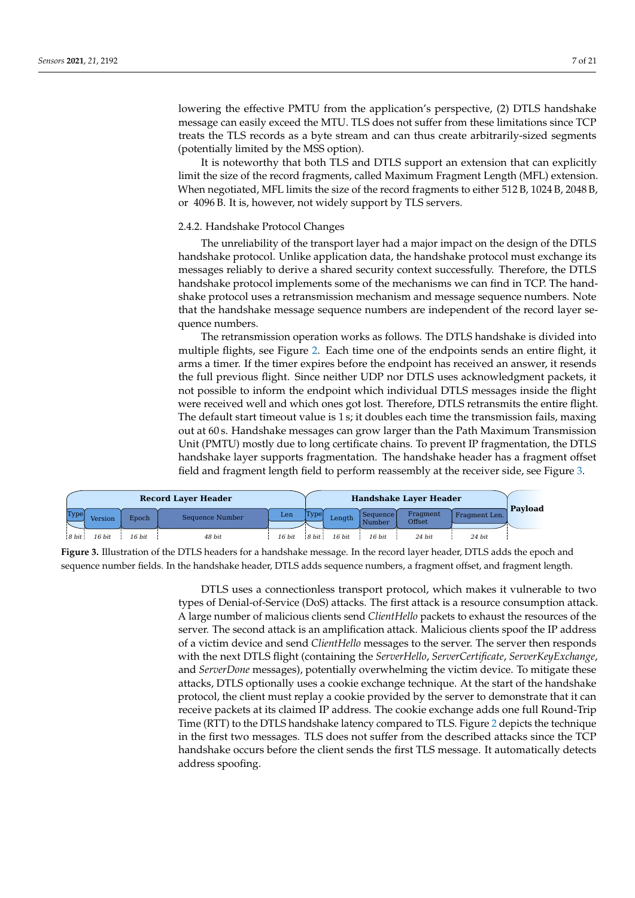lowering the effective PMTU from the application's perspective, (2) DTLS handshake message can easily exceed the MTU. TLS does not suffer from these limitations since TCP treats the TLS records as a byte stream and can thus create arbitrarily-sized segments (potentially limited by the MSS option).

It is noteworthy that both TLS and DTLS support an extension that can explicitly limit the size of the record fragments, called Maximum Fragment Length (MFL) extension. When negotiated, MFL limits the size of the record fragments to either 512 B, 1024 B, 2048 B, or 4096 B. It is, however, not widely support by TLS servers.

## 2.4.2. Handshake Protocol Changes

The unreliability of the transport layer had a major impact on the design of the DTLS handshake protocol. Unlike application data, the handshake protocol must exchange its messages reliably to derive a shared security context successfully. Therefore, the DTLS handshake protocol implements some of the mechanisms we can find in TCP. The handshake protocol uses a retransmission mechanism and message sequence numbers. Note that the handshake message sequence numbers are independent of the record layer sequence numbers.

The retransmission operation works as follows. The DTLS handshake is divided into multiple flights, see Figure [2.](#page-4-0) Each time one of the endpoints sends an entire flight, it arms a timer. If the timer expires before the endpoint has received an answer, it resends the full previous flight. Since neither UDP nor DTLS uses acknowledgment packets, it not possible to inform the endpoint which individual DTLS messages inside the flight were received well and which ones got lost. Therefore, DTLS retransmits the entire flight. The default start timeout value is 1 s; it doubles each time the transmission fails, maxing out at 60 s. Handshake messages can grow larger than the Path Maximum Transmission Unit (PMTU) mostly due to long certificate chains. To prevent IP fragmentation, the DTLS handshake layer supports fragmentation. The handshake header has a fragment offset field and fragment length field to perform reassembly at the receiver side, see Figure [3.](#page-6-0)

<span id="page-6-0"></span>

|       | <b>Record Laver Header</b> |        |                 |        |       |        |                    | <b>Handshake Laver Header</b> |               |                |
|-------|----------------------------|--------|-----------------|--------|-------|--------|--------------------|-------------------------------|---------------|----------------|
| Type  | Version                    | Epoch  | Sequence Number | Len    | Type  | Lenath | Sequence<br>Number | Fragment<br>Offset            | Fragment Len. | <b>Pavload</b> |
| 8 bit | 16 bit                     | 16 bit | 48 bit          | 16 bit | 8 bit | 16 bit | 16 bit             | 24 bit.                       | 24 bit        |                |

**Figure 3.** Illustration of the DTLS headers for a handshake message. In the record layer header, DTLS adds the epoch and sequence number fields. In the handshake header, DTLS adds sequence numbers, a fragment offset, and fragment length.

DTLS uses a connectionless transport protocol, which makes it vulnerable to two types of Denial-of-Service (DoS) attacks. The first attack is a resource consumption attack. A large number of malicious clients send *ClientHello* packets to exhaust the resources of the server. The second attack is an amplification attack. Malicious clients spoof the IP address of a victim device and send *ClientHello* messages to the server. The server then responds with the next DTLS flight (containing the *ServerHello*, *ServerCertificate*, *ServerKeyExchange*, and *ServerDone* messages), potentially overwhelming the victim device. To mitigate these attacks, DTLS optionally uses a cookie exchange technique. At the start of the handshake protocol, the client must replay a cookie provided by the server to demonstrate that it can receive packets at its claimed IP address. The cookie exchange adds one full Round-Trip Time (RTT) to the DTLS handshake latency compared to TLS. Figure [2](#page-4-0) depicts the technique in the first two messages. TLS does not suffer from the described attacks since the TCP handshake occurs before the client sends the first TLS message. It automatically detects address spoofing.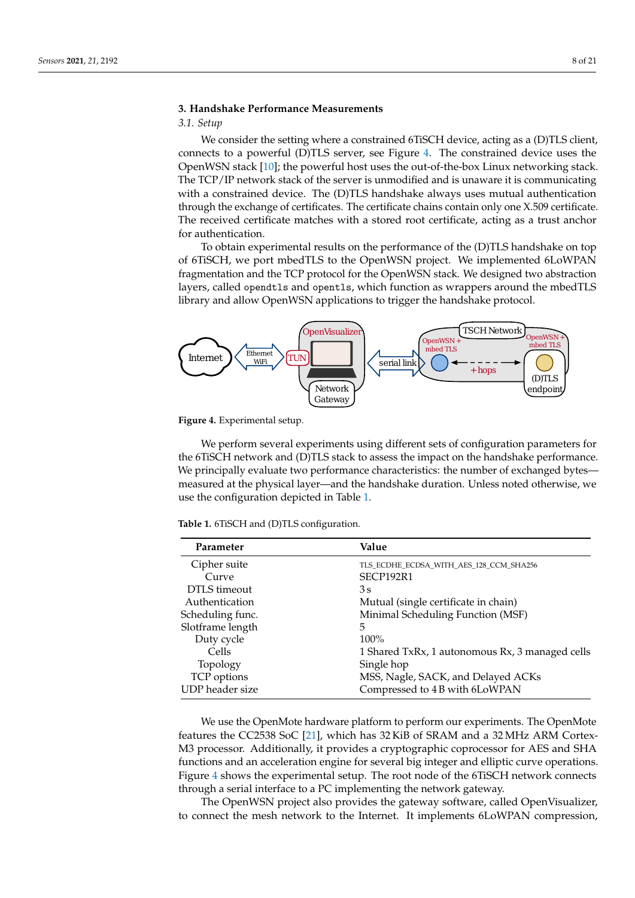# <span id="page-7-0"></span>**3. Handshake Performance Measurements**

## *3.1. Setup*

We consider the setting where a constrained 6TiSCH device, acting as a (D)TLS client, connects to a powerful (D)TLS server, see Figure [4.](#page-7-1) The constrained device uses the OpenWSN stack [\[10\]](#page-19-9); the powerful host uses the out-of-the-box Linux networking stack. The TCP/IP network stack of the server is unmodified and is unaware it is communicating with a constrained device. The (D)TLS handshake always uses mutual authentication through the exchange of certificates. The certificate chains contain only one X.509 certificate. The received certificate matches with a stored root certificate, acting as a trust anchor for authentication.

To obtain experimental results on the performance of the (D)TLS handshake on top of 6TiSCH, we port mbedTLS to the OpenWSN project. We implemented 6LoWPAN fragmentation and the TCP protocol for the OpenWSN stack. We designed two abstraction layers, called opendtls and opentls, which function as wrappers around the mbedTLS library and allow OpenWSN applications to trigger the handshake protocol.

<span id="page-7-1"></span>

**Figure 4.** Experimental setup.

We perform several experiments using different sets of configuration parameters for the 6TiSCH network and (D)TLS stack to assess the impact on the handshake performance. We principally evaluate two performance characteristics: the number of exchanged bytes measured at the physical layer—and the handshake duration. Unless noted otherwise, we use the configuration depicted in Table [1.](#page-7-2)

<span id="page-7-2"></span>**Table 1.** 6TiSCH and (D)TLS configuration.

| Parameter        | Value                                           |
|------------------|-------------------------------------------------|
| Cipher suite     | TLS_ECDHE_ECDSA_WITH_AES_128_CCM_SHA256         |
| Curve            | SECP192R1                                       |
| DTLS timeout     | 3s                                              |
| Authentication   | Mutual (single certificate in chain)            |
| Scheduling func. | Minimal Scheduling Function (MSF)               |
| Slotframe length | 5                                               |
| Duty cycle       | $100\%$                                         |
| Cells            | 1 Shared TxRx, 1 autonomous Rx, 3 managed cells |
| Topology         | Single hop                                      |
| TCP options      | MSS, Nagle, SACK, and Delayed ACKs              |
| UDP header size  | Compressed to 4 B with 6LoWPAN                  |

We use the OpenMote hardware platform to perform our experiments. The OpenMote features the CC2538 SoC [\[21\]](#page-19-20), which has 32 KiB of SRAM and a 32 MHz ARM Cortex-M3 processor. Additionally, it provides a cryptographic coprocessor for AES and SHA functions and an acceleration engine for several big integer and elliptic curve operations. Figure [4](#page-7-1) shows the experimental setup. The root node of the 6TiSCH network connects through a serial interface to a PC implementing the network gateway.

The OpenWSN project also provides the gateway software, called OpenVisualizer, to connect the mesh network to the Internet. It implements 6LoWPAN compression,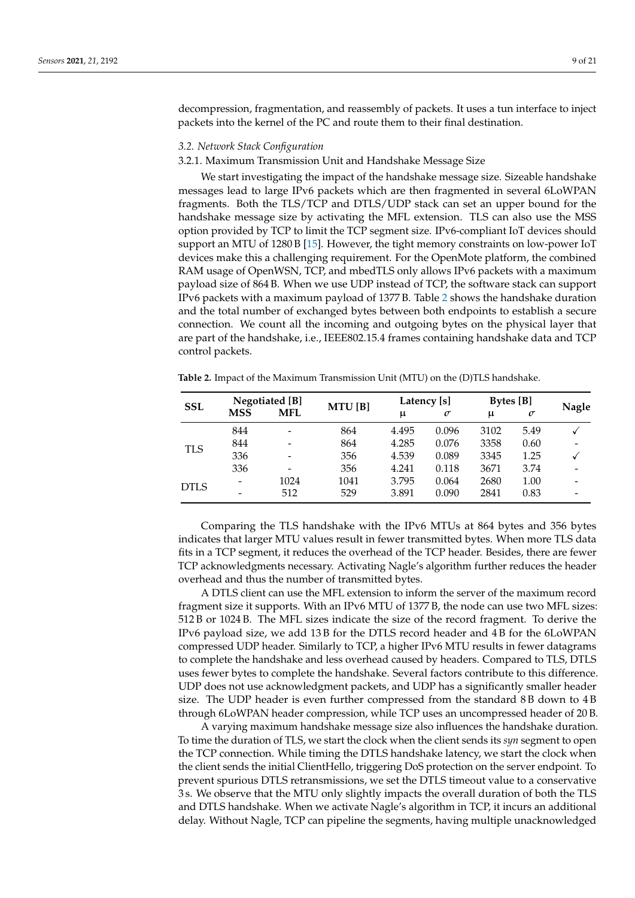decompression, fragmentation, and reassembly of packets. It uses a tun interface to inject packets into the kernel of the PC and route them to their final destination.

## *3.2. Network Stack Configuration*

#### 3.2.1. Maximum Transmission Unit and Handshake Message Size

We start investigating the impact of the handshake message size. Sizeable handshake messages lead to large IPv6 packets which are then fragmented in several 6LoWPAN fragments. Both the TLS/TCP and DTLS/UDP stack can set an upper bound for the handshake message size by activating the MFL extension. TLS can also use the MSS option provided by TCP to limit the TCP segment size. IPv6-compliant IoT devices should support an MTU of 1280 B [\[15\]](#page-19-14). However, the tight memory constraints on low-power IoT devices make this a challenging requirement. For the OpenMote platform, the combined RAM usage of OpenWSN, TCP, and mbedTLS only allows IPv6 packets with a maximum payload size of 864 B. When we use UDP instead of TCP, the software stack can support IPv6 packets with a maximum payload of 1377 B. Table [2](#page-8-0) shows the handshake duration and the total number of exchanged bytes between both endpoints to establish a secure connection. We count all the incoming and outgoing bytes on the physical layer that are part of the handshake, i.e., IEEE802.15.4 frames containing handshake data and TCP control packets.

<span id="page-8-0"></span>

| <b>Table 2.</b> Impact of the Maximum Transmission Unit (MTU) on the (D)TLS handshake. |  |  |  |  |
|----------------------------------------------------------------------------------------|--|--|--|--|
|----------------------------------------------------------------------------------------|--|--|--|--|

| <b>SSL</b>  | Negotiated [B] |            | MTU[B] |       | Latency [s] | <b>Bytes</b> [B] |          | <b>Nagle</b> |
|-------------|----------------|------------|--------|-------|-------------|------------------|----------|--------------|
|             | <b>MSS</b>     | <b>MFL</b> |        | $\mu$ | $\sigma$    | μ                | $\sigma$ |              |
|             | 844            |            | 864    | 4.495 | 0.096       | 3102             | 5.49     |              |
| TLS         | 844            |            | 864    | 4.285 | 0.076       | 3358             | 0.60     |              |
|             | 336            |            | 356    | 4.539 | 0.089       | 3345             | 1.25     |              |
|             | 336            | -          | 356    | 4.241 | 0.118       | 3671             | 3.74     |              |
| <b>DTLS</b> |                | 1024       | 1041   | 3.795 | 0.064       | 2680             | 1.00     |              |
|             |                | 512        | 529    | 3.891 | 0.090       | 2841             | 0.83     |              |

Comparing the TLS handshake with the IPv6 MTUs at 864 bytes and 356 bytes indicates that larger MTU values result in fewer transmitted bytes. When more TLS data fits in a TCP segment, it reduces the overhead of the TCP header. Besides, there are fewer TCP acknowledgments necessary. Activating Nagle's algorithm further reduces the header overhead and thus the number of transmitted bytes.

A DTLS client can use the MFL extension to inform the server of the maximum record fragment size it supports. With an IPv6 MTU of 1377 B, the node can use two MFL sizes: 512 B or 1024 B. The MFL sizes indicate the size of the record fragment. To derive the IPv6 payload size, we add 13 B for the DTLS record header and 4 B for the 6LoWPAN compressed UDP header. Similarly to TCP, a higher IPv6 MTU results in fewer datagrams to complete the handshake and less overhead caused by headers. Compared to TLS, DTLS uses fewer bytes to complete the handshake. Several factors contribute to this difference. UDP does not use acknowledgment packets, and UDP has a significantly smaller header size. The UDP header is even further compressed from the standard 8 B down to 4 B through 6LoWPAN header compression, while TCP uses an uncompressed header of 20 B.

A varying maximum handshake message size also influences the handshake duration. To time the duration of TLS, we start the clock when the client sends its *syn* segment to open the TCP connection. While timing the DTLS handshake latency, we start the clock when the client sends the initial ClientHello, triggering DoS protection on the server endpoint. To prevent spurious DTLS retransmissions, we set the DTLS timeout value to a conservative 3 s. We observe that the MTU only slightly impacts the overall duration of both the TLS and DTLS handshake. When we activate Nagle's algorithm in TCP, it incurs an additional delay. Without Nagle, TCP can pipeline the segments, having multiple unacknowledged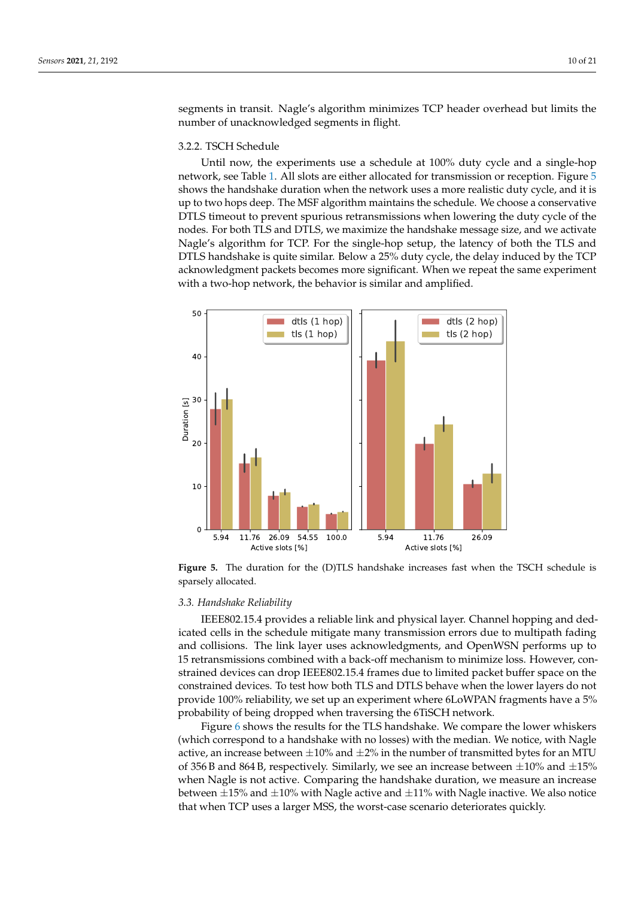segments in transit. Nagle's algorithm minimizes TCP header overhead but limits the number of unacknowledged segments in flight.

#### 3.2.2. TSCH Schedule

Until now, the experiments use a schedule at 100% duty cycle and a single-hop network, see Table [1.](#page-7-2) All slots are either allocated for transmission or reception. Figure [5](#page-9-0) shows the handshake duration when the network uses a more realistic duty cycle, and it is up to two hops deep. The MSF algorithm maintains the schedule. We choose a conservative DTLS timeout to prevent spurious retransmissions when lowering the duty cycle of the nodes. For both TLS and DTLS, we maximize the handshake message size, and we activate Nagle's algorithm for TCP. For the single-hop setup, the latency of both the TLS and DTLS handshake is quite similar. Below a 25% duty cycle, the delay induced by the TCP acknowledgment packets becomes more significant. When we repeat the same experiment with a two-hop network, the behavior is similar and amplified.

<span id="page-9-0"></span>

**Figure 5.** The duration for the (D)TLS handshake increases fast when the TSCH schedule is sparsely allocated.

#### *3.3. Handshake Reliability*

IEEE802.15.4 provides a reliable link and physical layer. Channel hopping and dedicated cells in the schedule mitigate many transmission errors due to multipath fading and collisions. The link layer uses acknowledgments, and OpenWSN performs up to 15 retransmissions combined with a back-off mechanism to minimize loss. However, constrained devices can drop IEEE802.15.4 frames due to limited packet buffer space on the constrained devices. To test how both TLS and DTLS behave when the lower layers do not provide 100% reliability, we set up an experiment where 6LoWPAN fragments have a 5% probability of being dropped when traversing the 6TiSCH network.

Figure [6](#page-10-0) shows the results for the TLS handshake. We compare the lower whiskers (which correspond to a handshake with no losses) with the median. We notice, with Nagle active, an increase between  $\pm 10\%$  and  $\pm 2\%$  in the number of transmitted bytes for an MTU of 356 B and 864 B, respectively. Similarly, we see an increase between  $\pm 10\%$  and  $\pm 15\%$ when Nagle is not active. Comparing the handshake duration, we measure an increase between  $\pm 15\%$  and  $\pm 10\%$  with Nagle active and  $\pm 11\%$  with Nagle inactive. We also notice that when TCP uses a larger MSS, the worst-case scenario deteriorates quickly.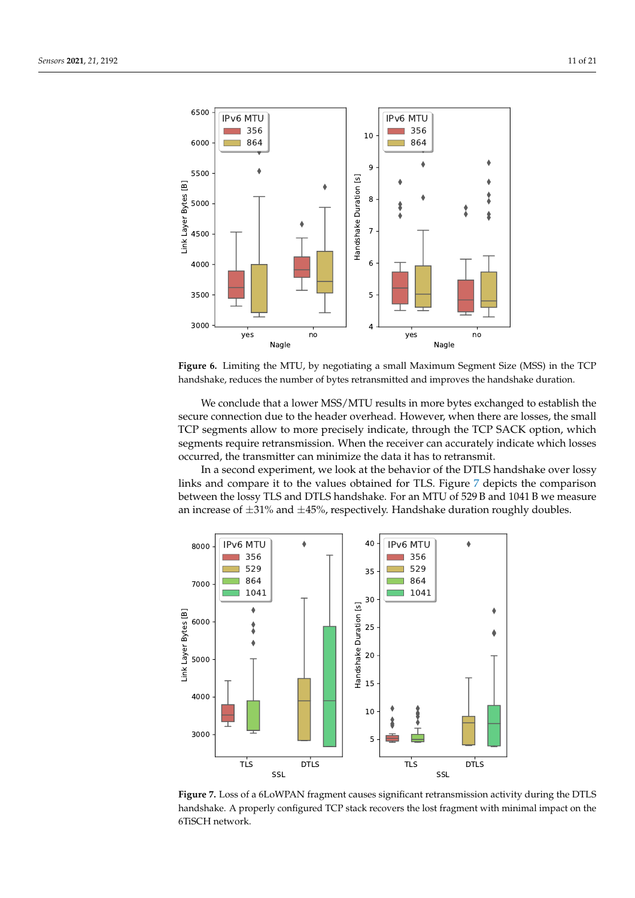<span id="page-10-0"></span>

**Figure 6.** Limiting the MTU, by negotiating a small Maximum Segment Size (MSS) in the TCP handshake, reduces the number of bytes retransmitted and improves the handshake duration.

We conclude that a lower MSS/MTU results in more bytes exchanged to establish the secure connection due to the header overhead. However, when there are losses, the small TCP segments allow to more precisely indicate, through the TCP SACK option, which segments require retransmission. When the receiver can accurately indicate which losses occurred, the transmitter can minimize the data it has to retransmit.

In a second experiment, we look at the behavior of the DTLS handshake over lossy links and compare it to the values obtained for TLS. Figure [7](#page-10-1) depicts the comparison between the lossy TLS and DTLS handshake. For an MTU of 529 B and 1041 B we measure an increase of  $\pm 31\%$  and  $\pm 45\%$ , respectively. Handshake duration roughly doubles.

<span id="page-10-1"></span>

**Figure 7.** Loss of a 6LoWPAN fragment causes significant retransmission activity during the DTLS handshake. A properly configured TCP stack recovers the lost fragment with minimal impact on the 6TiSCH network.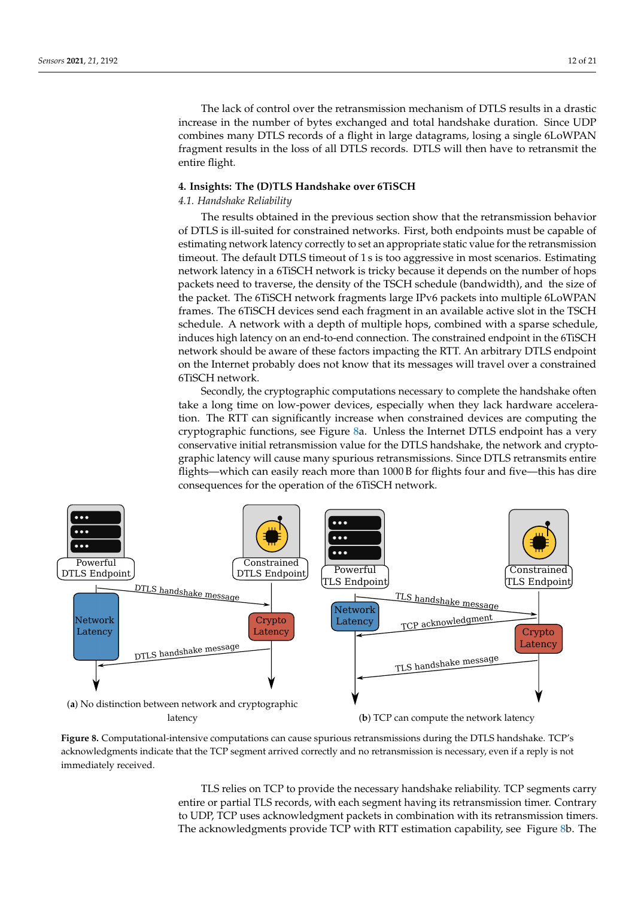The lack of control over the retransmission mechanism of DTLS results in a drastic increase in the number of bytes exchanged and total handshake duration. Since UDP combines many DTLS records of a flight in large datagrams, losing a single 6LoWPAN fragment results in the loss of all DTLS records. DTLS will then have to retransmit the entire flight.

## <span id="page-11-0"></span>**4. Insights: The (D)TLS Handshake over 6TiSCH**

#### *4.1. Handshake Reliability*

The results obtained in the previous section show that the retransmission behavior of DTLS is ill-suited for constrained networks. First, both endpoints must be capable of estimating network latency correctly to set an appropriate static value for the retransmission timeout. The default DTLS timeout of 1 s is too aggressive in most scenarios. Estimating network latency in a 6TiSCH network is tricky because it depends on the number of hops packets need to traverse, the density of the TSCH schedule (bandwidth), and the size of the packet. The 6TiSCH network fragments large IPv6 packets into multiple 6LoWPAN frames. The 6TiSCH devices send each fragment in an available active slot in the TSCH schedule. A network with a depth of multiple hops, combined with a sparse schedule, induces high latency on an end-to-end connection. The constrained endpoint in the 6TiSCH network should be aware of these factors impacting the RTT. An arbitrary DTLS endpoint on the Internet probably does not know that its messages will travel over a constrained 6TiSCH network.

Secondly, the cryptographic computations necessary to complete the handshake often take a long time on low-power devices, especially when they lack hardware acceleration. The RTT can significantly increase when constrained devices are computing the cryptographic functions, see Figure [8a](#page-11-1). Unless the Internet DTLS endpoint has a very conservative initial retransmission value for the DTLS handshake, the network and cryptographic latency will cause many spurious retransmissions. Since DTLS retransmits entire flights—which can easily reach more than 1000 B for flights four and five—this has dire consequences for the operation of the 6TiSCH network.

<span id="page-11-1"></span>

**Figure 8.** Computational-intensive computations can cause spurious retransmissions during the DTLS handshake. TCP's acknowledgments indicate that the TCP segment arrived correctly and no retransmission is necessary, even if a reply is not immediately received.

TLS relies on TCP to provide the necessary handshake reliability. TCP segments carry entire or partial TLS records, with each segment having its retransmission timer. Contrary to UDP, TCP uses acknowledgment packets in combination with its retransmission timers. The acknowledgments provide TCP with RTT estimation capability, see Figure [8b](#page-11-1). The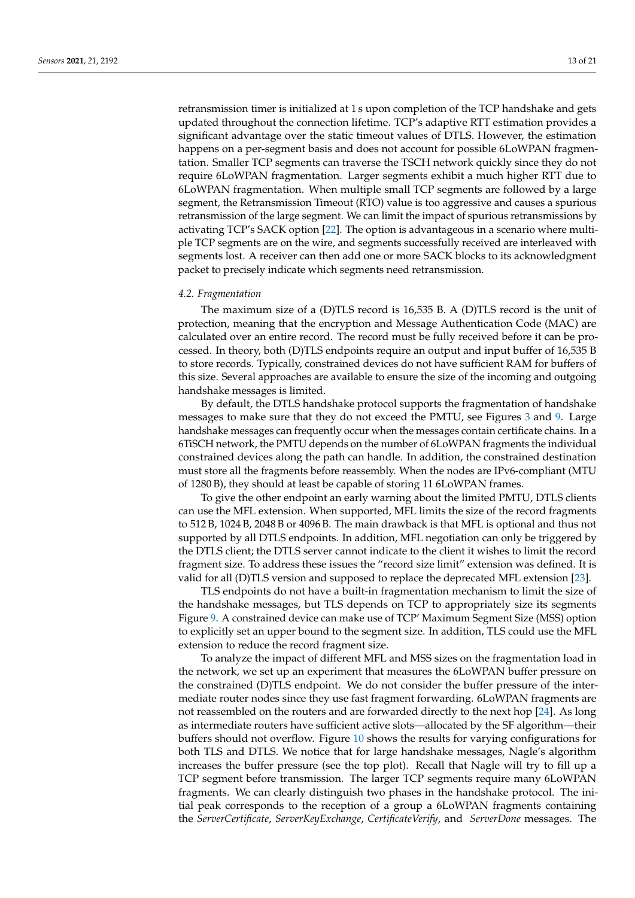retransmission timer is initialized at 1 s upon completion of the TCP handshake and gets updated throughout the connection lifetime. TCP's adaptive RTT estimation provides a significant advantage over the static timeout values of DTLS. However, the estimation happens on a per-segment basis and does not account for possible 6LoWPAN fragmentation. Smaller TCP segments can traverse the TSCH network quickly since they do not require 6LoWPAN fragmentation. Larger segments exhibit a much higher RTT due to 6LoWPAN fragmentation. When multiple small TCP segments are followed by a large segment, the Retransmission Timeout (RTO) value is too aggressive and causes a spurious retransmission of the large segment. We can limit the impact of spurious retransmissions by activating TCP's SACK option [\[22\]](#page-19-21). The option is advantageous in a scenario where multiple TCP segments are on the wire, and segments successfully received are interleaved with segments lost. A receiver can then add one or more SACK blocks to its acknowledgment packet to precisely indicate which segments need retransmission.

#### *4.2. Fragmentation*

The maximum size of a (D)TLS record is 16,535 B. A (D)TLS record is the unit of protection, meaning that the encryption and Message Authentication Code (MAC) are calculated over an entire record. The record must be fully received before it can be processed. In theory, both (D)TLS endpoints require an output and input buffer of 16,535 B to store records. Typically, constrained devices do not have sufficient RAM for buffers of this size. Several approaches are available to ensure the size of the incoming and outgoing handshake messages is limited.

By default, the DTLS handshake protocol supports the fragmentation of handshake messages to make sure that they do not exceed the PMTU, see Figures [3](#page-6-0) and [9.](#page-13-0) Large handshake messages can frequently occur when the messages contain certificate chains. In a 6TiSCH network, the PMTU depends on the number of 6LoWPAN fragments the individual constrained devices along the path can handle. In addition, the constrained destination must store all the fragments before reassembly. When the nodes are IPv6-compliant (MTU of 1280 B), they should at least be capable of storing 11 6LoWPAN frames.

To give the other endpoint an early warning about the limited PMTU, DTLS clients can use the MFL extension. When supported, MFL limits the size of the record fragments to 512 B, 1024 B, 2048 B or 4096 B. The main drawback is that MFL is optional and thus not supported by all DTLS endpoints. In addition, MFL negotiation can only be triggered by the DTLS client; the DTLS server cannot indicate to the client it wishes to limit the record fragment size. To address these issues the "record size limit" extension was defined. It is valid for all (D)TLS version and supposed to replace the deprecated MFL extension [\[23\]](#page-19-22).

TLS endpoints do not have a built-in fragmentation mechanism to limit the size of the handshake messages, but TLS depends on TCP to appropriately size its segments Figure [9.](#page-13-0) A constrained device can make use of TCP' Maximum Segment Size (MSS) option to explicitly set an upper bound to the segment size. In addition, TLS could use the MFL extension to reduce the record fragment size.

To analyze the impact of different MFL and MSS sizes on the fragmentation load in the network, we set up an experiment that measures the 6LoWPAN buffer pressure on the constrained (D)TLS endpoint. We do not consider the buffer pressure of the intermediate router nodes since they use fast fragment forwarding. 6LoWPAN fragments are not reassembled on the routers and are forwarded directly to the next hop [\[24\]](#page-19-23). As long as intermediate routers have sufficient active slots—allocated by the SF algorithm—their buffers should not overflow. Figure [10](#page-14-0) shows the results for varying configurations for both TLS and DTLS. We notice that for large handshake messages, Nagle's algorithm increases the buffer pressure (see the top plot). Recall that Nagle will try to fill up a TCP segment before transmission. The larger TCP segments require many 6LoWPAN fragments. We can clearly distinguish two phases in the handshake protocol. The initial peak corresponds to the reception of a group a 6LoWPAN fragments containing the *ServerCertificate*, *ServerKeyExchange*, *CertificateVerify*, and *ServerDone* messages. The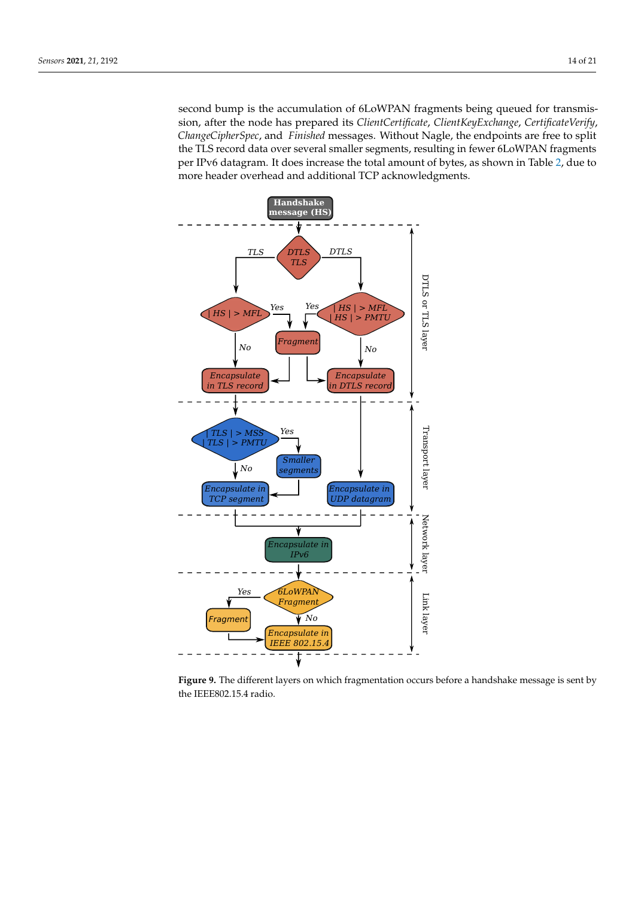second bump is the accumulation of 6LoWPAN fragments being queued for transmission, after the node has prepared its *ClientCertificate*, *ClientKeyExchange*, *CertificateVerify*, *ChangeCipherSpec*, and *Finished* messages. Without Nagle, the endpoints are free to split the TLS record data over several smaller segments, resulting in fewer 6LoWPAN fragments per IPv6 datagram. It does increase the total amount of bytes, as shown in Table [2,](#page-8-0) due to more header overhead and additional TCP acknowledgments.

<span id="page-13-0"></span>

**Figure 9.** The different layers on which fragmentation occurs before a handshake message is sent by the IEEE802.15.4 radio.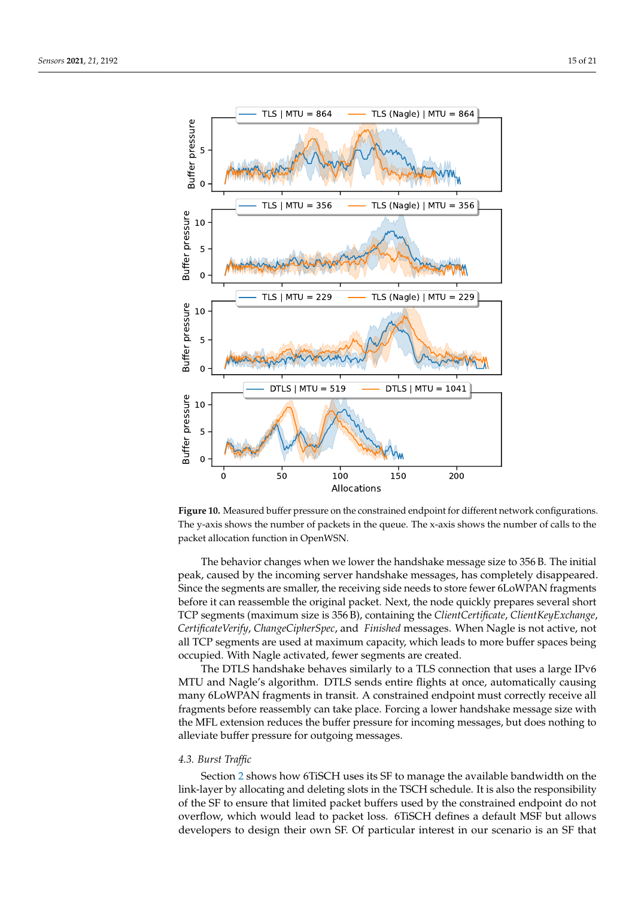<span id="page-14-0"></span>

**Figure 10.** Measured buffer pressure on the constrained endpoint for different network configurations. The y-axis shows the number of packets in the queue. The x-axis shows the number of calls to the packet allocation function in OpenWSN.

The behavior changes when we lower the handshake message size to 356 B. The initial peak, caused by the incoming server handshake messages, has completely disappeared. Since the segments are smaller, the receiving side needs to store fewer 6LoWPAN fragments before it can reassemble the original packet. Next, the node quickly prepares several short TCP segments (maximum size is 356 B), containing the *ClientCertificate*, *ClientKeyExchange*, *CertificateVerify*, *ChangeCipherSpec*, and *Finished* messages. When Nagle is not active, not all TCP segments are used at maximum capacity, which leads to more buffer spaces being occupied. With Nagle activated, fewer segments are created.

The DTLS handshake behaves similarly to a TLS connection that uses a large IPv6 MTU and Nagle's algorithm. DTLS sends entire flights at once, automatically causing many 6LoWPAN fragments in transit. A constrained endpoint must correctly receive all fragments before reassembly can take place. Forcing a lower handshake message size with the MFL extension reduces the buffer pressure for incoming messages, but does nothing to alleviate buffer pressure for outgoing messages.

#### *4.3. Burst Traffic*

Section [2](#page-2-0) shows how 6TiSCH uses its SF to manage the available bandwidth on the link-layer by allocating and deleting slots in the TSCH schedule. It is also the responsibility of the SF to ensure that limited packet buffers used by the constrained endpoint do not overflow, which would lead to packet loss. 6TiSCH defines a default MSF but allows developers to design their own SF. Of particular interest in our scenario is an SF that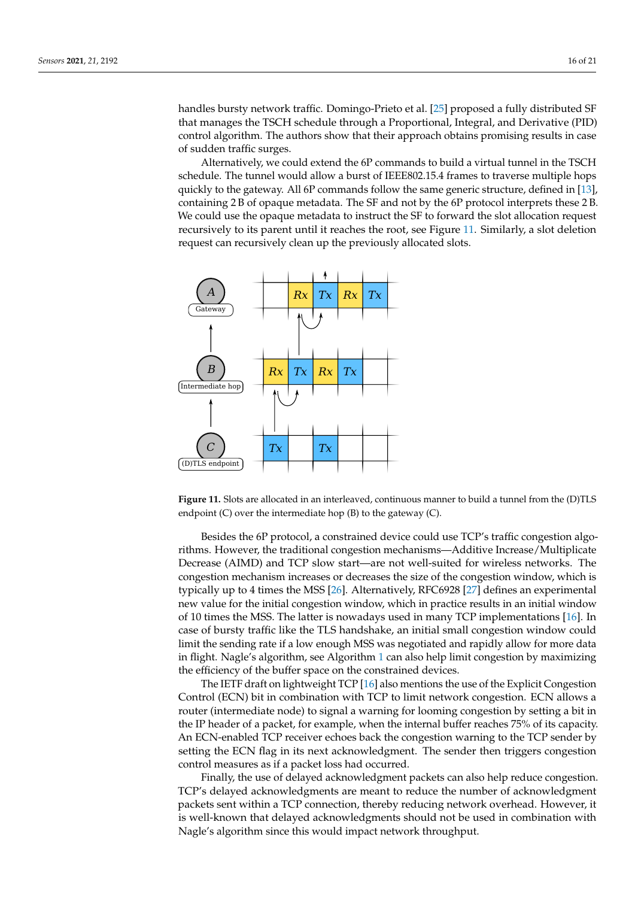handles bursty network traffic. Domingo-Prieto et al. [\[25\]](#page-19-24) proposed a fully distributed SF that manages the TSCH schedule through a Proportional, Integral, and Derivative (PID) control algorithm. The authors show that their approach obtains promising results in case of sudden traffic surges.

Alternatively, we could extend the 6P commands to build a virtual tunnel in the TSCH schedule. The tunnel would allow a burst of IEEE802.15.4 frames to traverse multiple hops quickly to the gateway. All 6P commands follow the same generic structure, defined in [\[13\]](#page-19-12), containing 2 B of opaque metadata. The SF and not by the 6P protocol interprets these 2 B. We could use the opaque metadata to instruct the SF to forward the slot allocation request recursively to its parent until it reaches the root, see Figure [11.](#page-15-0) Similarly, a slot deletion request can recursively clean up the previously allocated slots.

<span id="page-15-0"></span>

**Figure 11.** Slots are allocated in an interleaved, continuous manner to build a tunnel from the (D)TLS endpoint (C) over the intermediate hop (B) to the gateway (C).

Besides the 6P protocol, a constrained device could use TCP's traffic congestion algorithms. However, the traditional congestion mechanisms—Additive Increase/Multiplicate Decrease (AIMD) and TCP slow start—are not well-suited for wireless networks. The congestion mechanism increases or decreases the size of the congestion window, which is typically up to 4 times the MSS [\[26\]](#page-19-25). Alternatively, RFC6928 [\[27\]](#page-19-26) defines an experimental new value for the initial congestion window, which in practice results in an initial window of 10 times the MSS. The latter is nowadays used in many TCP implementations [\[16\]](#page-19-15). In case of bursty traffic like the TLS handshake, an initial small congestion window could limit the sending rate if a low enough MSS was negotiated and rapidly allow for more data in flight. Nagle's algorithm, see Algorithm [1](#page-3-0) can also help limit congestion by maximizing the efficiency of the buffer space on the constrained devices.

The IETF draft on lightweight TCP [\[16\]](#page-19-15) also mentions the use of the Explicit Congestion Control (ECN) bit in combination with TCP to limit network congestion. ECN allows a router (intermediate node) to signal a warning for looming congestion by setting a bit in the IP header of a packet, for example, when the internal buffer reaches 75% of its capacity. An ECN-enabled TCP receiver echoes back the congestion warning to the TCP sender by setting the ECN flag in its next acknowledgment. The sender then triggers congestion control measures as if a packet loss had occurred.

Finally, the use of delayed acknowledgment packets can also help reduce congestion. TCP's delayed acknowledgments are meant to reduce the number of acknowledgment packets sent within a TCP connection, thereby reducing network overhead. However, it is well-known that delayed acknowledgments should not be used in combination with Nagle's algorithm since this would impact network throughput.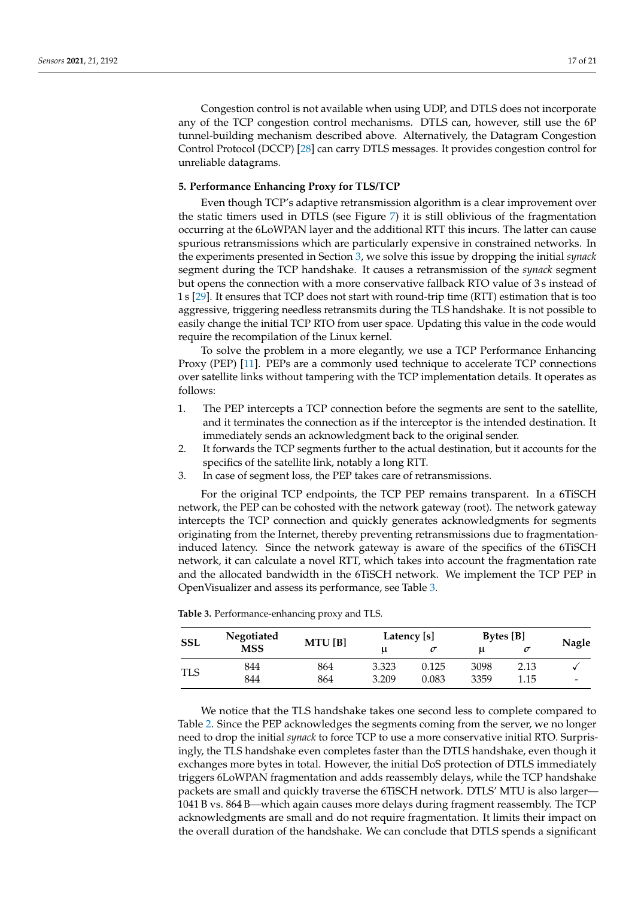Congestion control is not available when using UDP, and DTLS does not incorporate any of the TCP congestion control mechanisms. DTLS can, however, still use the 6P tunnel-building mechanism described above. Alternatively, the Datagram Congestion Control Protocol (DCCP) [\[28\]](#page-19-27) can carry DTLS messages. It provides congestion control for unreliable datagrams.

## <span id="page-16-0"></span>**5. Performance Enhancing Proxy for TLS/TCP**

Even though TCP's adaptive retransmission algorithm is a clear improvement over the static timers used in DTLS (see Figure [7\)](#page-10-1) it is still oblivious of the fragmentation occurring at the 6LoWPAN layer and the additional RTT this incurs. The latter can cause spurious retransmissions which are particularly expensive in constrained networks. In the experiments presented in Section [3,](#page-7-0) we solve this issue by dropping the initial *synack* segment during the TCP handshake. It causes a retransmission of the *synack* segment but opens the connection with a more conservative fallback RTO value of 3 s instead of 1 s [\[29\]](#page-19-28). It ensures that TCP does not start with round-trip time (RTT) estimation that is too aggressive, triggering needless retransmits during the TLS handshake. It is not possible to easily change the initial TCP RTO from user space. Updating this value in the code would require the recompilation of the Linux kernel.

To solve the problem in a more elegantly, we use a TCP Performance Enhancing Proxy (PEP) [\[11\]](#page-19-10). PEPs are a commonly used technique to accelerate TCP connections over satellite links without tampering with the TCP implementation details. It operates as follows:

- 1. The PEP intercepts a TCP connection before the segments are sent to the satellite, and it terminates the connection as if the interceptor is the intended destination. It immediately sends an acknowledgment back to the original sender.
- 2. It forwards the TCP segments further to the actual destination, but it accounts for the specifics of the satellite link, notably a long RTT.
- 3. In case of segment loss, the PEP takes care of retransmissions.

For the original TCP endpoints, the TCP PEP remains transparent. In a 6TiSCH network, the PEP can be cohosted with the network gateway (root). The network gateway intercepts the TCP connection and quickly generates acknowledgments for segments originating from the Internet, thereby preventing retransmissions due to fragmentationinduced latency. Since the network gateway is aware of the specifics of the 6TiSCH network, it can calculate a novel RTT, which takes into account the fragmentation rate and the allocated bandwidth in the 6TiSCH network. We implement the TCP PEP in OpenVisualizer and assess its performance, see Table [3.](#page-16-1)

| <b>SSL</b> | Negotiated | MTU[B] |       | Latency [s] | Bytes [B] |      |            |
|------------|------------|--------|-------|-------------|-----------|------|------------|
|            | <b>MSS</b> |        |       |             | u         | σ    |            |
|            | 844        | 864    | 3.323 | 0.125       | 3098      | 2.13 |            |
| TLS        | 844        | 864    | 3.209 | 0.083       | 3359      | 1.15 | Nagle<br>- |

<span id="page-16-1"></span>**Table 3.** Performance-enhancing proxy and TLS.

We notice that the TLS handshake takes one second less to complete compared to Table [2.](#page-8-0) Since the PEP acknowledges the segments coming from the server, we no longer need to drop the initial *synack* to force TCP to use a more conservative initial RTO. Surprisingly, the TLS handshake even completes faster than the DTLS handshake, even though it exchanges more bytes in total. However, the initial DoS protection of DTLS immediately triggers 6LoWPAN fragmentation and adds reassembly delays, while the TCP handshake packets are small and quickly traverse the 6TiSCH network. DTLS' MTU is also larger— 1041 B vs. 864 B—which again causes more delays during fragment reassembly. The TCP acknowledgments are small and do not require fragmentation. It limits their impact on the overall duration of the handshake. We can conclude that DTLS spends a significant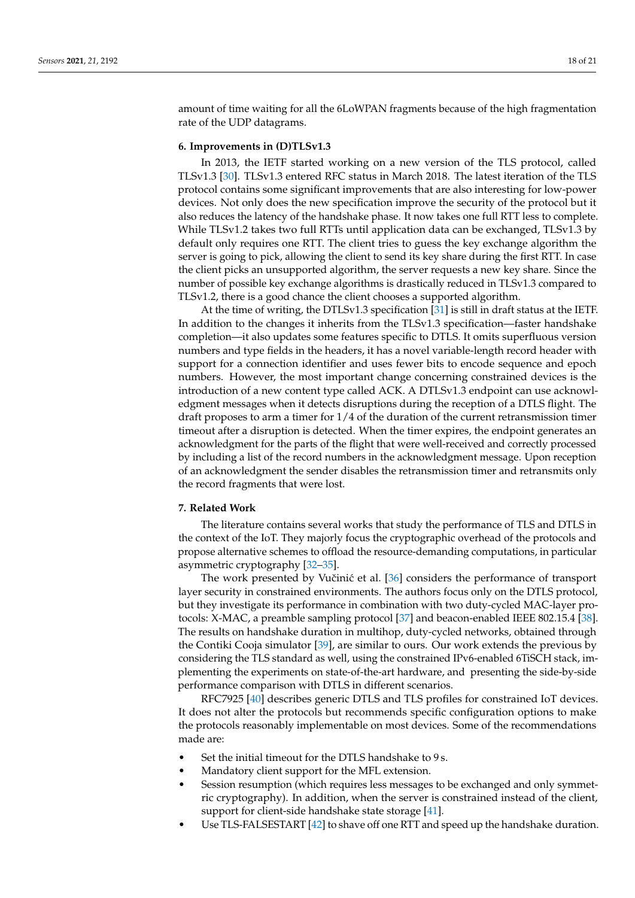amount of time waiting for all the 6LoWPAN fragments because of the high fragmentation rate of the UDP datagrams.

## <span id="page-17-0"></span>**6. Improvements in (D)TLSv1.3**

In 2013, the IETF started working on a new version of the TLS protocol, called TLSv1.3 [\[30\]](#page-20-0). TLSv1.3 entered RFC status in March 2018. The latest iteration of the TLS protocol contains some significant improvements that are also interesting for low-power devices. Not only does the new specification improve the security of the protocol but it also reduces the latency of the handshake phase. It now takes one full RTT less to complete. While TLSv1.2 takes two full RTTs until application data can be exchanged, TLSv1.3 by default only requires one RTT. The client tries to guess the key exchange algorithm the server is going to pick, allowing the client to send its key share during the first RTT. In case the client picks an unsupported algorithm, the server requests a new key share. Since the number of possible key exchange algorithms is drastically reduced in TLSv1.3 compared to TLSv1.2, there is a good chance the client chooses a supported algorithm.

At the time of writing, the DTLSv1.3 specification [\[31\]](#page-20-1) is still in draft status at the IETF. In addition to the changes it inherits from the TLSv1.3 specification—faster handshake completion—it also updates some features specific to DTLS. It omits superfluous version numbers and type fields in the headers, it has a novel variable-length record header with support for a connection identifier and uses fewer bits to encode sequence and epoch numbers. However, the most important change concerning constrained devices is the introduction of a new content type called ACK. A DTLSv1.3 endpoint can use acknowledgment messages when it detects disruptions during the reception of a DTLS flight. The draft proposes to arm a timer for 1/4 of the duration of the current retransmission timer timeout after a disruption is detected. When the timer expires, the endpoint generates an acknowledgment for the parts of the flight that were well-received and correctly processed by including a list of the record numbers in the acknowledgment message. Upon reception of an acknowledgment the sender disables the retransmission timer and retransmits only the record fragments that were lost.

## <span id="page-17-1"></span>**7. Related Work**

The literature contains several works that study the performance of TLS and DTLS in the context of the IoT. They majorly focus the cryptographic overhead of the protocols and propose alternative schemes to offload the resource-demanding computations, in particular asymmetric cryptography [\[32](#page-20-2)[–35\]](#page-20-3).

The work presented by Vučinić et al. [\[36\]](#page-20-4) considers the performance of transport layer security in constrained environments. The authors focus only on the DTLS protocol, but they investigate its performance in combination with two duty-cycled MAC-layer protocols: X-MAC, a preamble sampling protocol [\[37\]](#page-20-5) and beacon-enabled IEEE 802.15.4 [\[38\]](#page-20-6). The results on handshake duration in multihop, duty-cycled networks, obtained through the Contiki Cooja simulator [\[39\]](#page-20-7), are similar to ours. Our work extends the previous by considering the TLS standard as well, using the constrained IPv6-enabled 6TiSCH stack, implementing the experiments on state-of-the-art hardware, and presenting the side-by-side performance comparison with DTLS in different scenarios.

RFC7925 [\[40\]](#page-20-8) describes generic DTLS and TLS profiles for constrained IoT devices. It does not alter the protocols but recommends specific configuration options to make the protocols reasonably implementable on most devices. Some of the recommendations made are:

- Set the initial timeout for the DTLS handshake to 9 s.
- Mandatory client support for the MFL extension.
- Session resumption (which requires less messages to be exchanged and only symmetric cryptography). In addition, when the server is constrained instead of the client, support for client-side handshake state storage [\[41\]](#page-20-9).
- Use TLS-FALSESTART [\[42\]](#page-20-10) to shave off one RTT and speed up the handshake duration.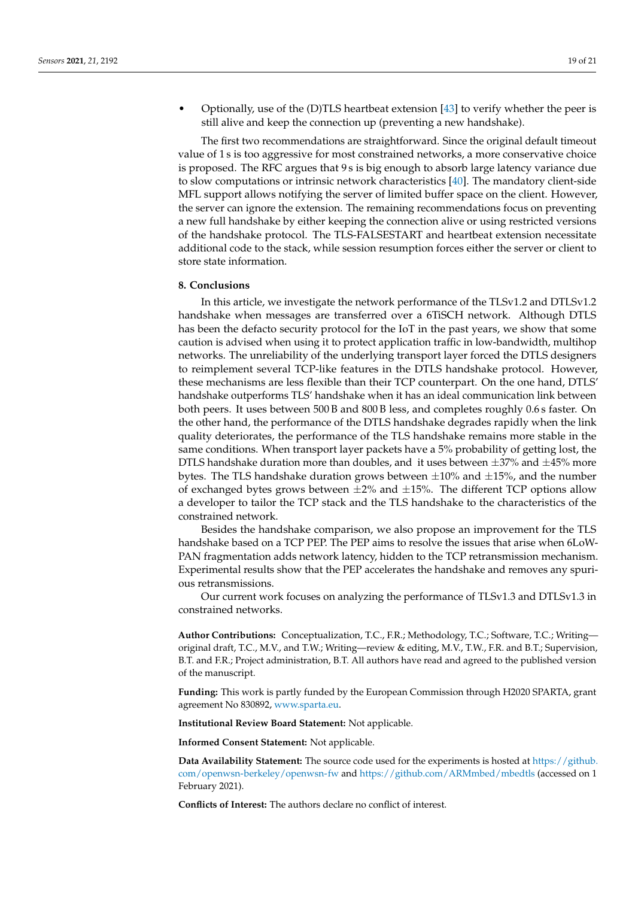• Optionally, use of the (D)TLS heartbeat extension [\[43\]](#page-20-11) to verify whether the peer is still alive and keep the connection up (preventing a new handshake).

The first two recommendations are straightforward. Since the original default timeout value of 1 s is too aggressive for most constrained networks, a more conservative choice is proposed. The RFC argues that 9 s is big enough to absorb large latency variance due to slow computations or intrinsic network characteristics [\[40\]](#page-20-8). The mandatory client-side MFL support allows notifying the server of limited buffer space on the client. However, the server can ignore the extension. The remaining recommendations focus on preventing a new full handshake by either keeping the connection alive or using restricted versions of the handshake protocol. The TLS-FALSESTART and heartbeat extension necessitate additional code to the stack, while session resumption forces either the server or client to store state information.

# <span id="page-18-0"></span>**8. Conclusions**

In this article, we investigate the network performance of the TLSv1.2 and DTLSv1.2 handshake when messages are transferred over a 6TiSCH network. Although DTLS has been the defacto security protocol for the IoT in the past years, we show that some caution is advised when using it to protect application traffic in low-bandwidth, multihop networks. The unreliability of the underlying transport layer forced the DTLS designers to reimplement several TCP-like features in the DTLS handshake protocol. However, these mechanisms are less flexible than their TCP counterpart. On the one hand, DTLS' handshake outperforms TLS' handshake when it has an ideal communication link between both peers. It uses between 500 B and 800 B less, and completes roughly 0.6 s faster. On the other hand, the performance of the DTLS handshake degrades rapidly when the link quality deteriorates, the performance of the TLS handshake remains more stable in the same conditions. When transport layer packets have a 5% probability of getting lost, the DTLS handshake duration more than doubles, and it uses between  $\pm 37\%$  and  $\pm 45\%$  more bytes. The TLS handshake duration grows between  $\pm 10\%$  and  $\pm 15\%$ , and the number of exchanged bytes grows between  $\pm 2\%$  and  $\pm 15\%$ . The different TCP options allow a developer to tailor the TCP stack and the TLS handshake to the characteristics of the constrained network.

Besides the handshake comparison, we also propose an improvement for the TLS handshake based on a TCP PEP. The PEP aims to resolve the issues that arise when 6LoW-PAN fragmentation adds network latency, hidden to the TCP retransmission mechanism. Experimental results show that the PEP accelerates the handshake and removes any spurious retransmissions.

Our current work focuses on analyzing the performance of TLSv1.3 and DTLSv1.3 in constrained networks.

**Author Contributions:** Conceptualization, T.C., F.R.; Methodology, T.C.; Software, T.C.; Writing original draft, T.C., M.V., and T.W.; Writing—review & editing, M.V., T.W., F.R. and B.T.; Supervision, B.T. and F.R.; Project administration, B.T. All authors have read and agreed to the published version of the manuscript.

**Funding:** This work is partly funded by the European Commission through H2020 SPARTA, grant agreement No 830892, [www.sparta.eu.](www.sparta.eu)

**Institutional Review Board Statement:** Not applicable.

**Informed Consent Statement:** Not applicable.

**Data Availability Statement:** The source code used for the experiments is hosted at [https://github.](https://github.com/openwsn-berkeley/openwsn-fw) [com/openwsn-berkeley/openwsn-fw](https://github.com/openwsn-berkeley/openwsn-fw) and <https://github.com/ARMmbed/mbedtls> (accessed on 1 February 2021).

**Conflicts of Interest:** The authors declare no conflict of interest.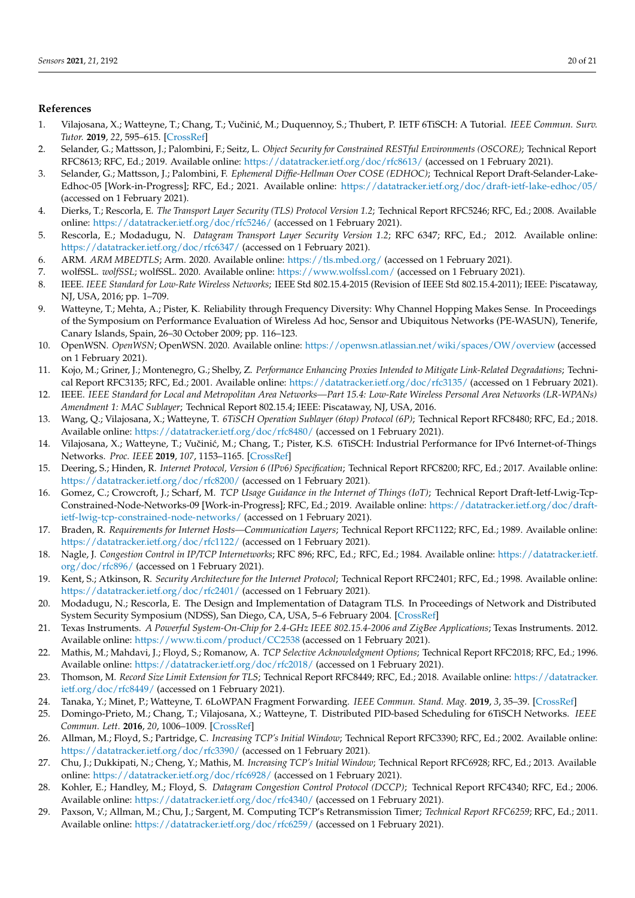## **References**

- <span id="page-19-0"></span>1. Vilajosana, X.; Watteyne, T.; Chang, T.; Vučinić, M.; Duquennoy, S.; Thubert, P. IETF 6TiSCH: A Tutorial. *IEEE Commun. Surv. Tutor.* **2019**, *22*, 595–615. [\[CrossRef\]](http://doi.org/10.1109/COMST.2019.2939407)
- <span id="page-19-1"></span>2. Selander, G.; Mattsson, J.; Palombini, F.; Seitz, L. *Object Security for Constrained RESTful Environments (OSCORE)*; Technical Report RFC8613; RFC, Ed.; 2019. Available online: <https://datatracker.ietf.org/doc/rfc8613/> (accessed on 1 February 2021).
- <span id="page-19-2"></span>3. Selander, G.; Mattsson, J.; Palombini, F. *Ephemeral Diffie-Hellman Over COSE (EDHOC)*; Technical Report Draft-Selander-Lake-Edhoc-05 [Work-in-Progress]; RFC, Ed.; 2021. Available online: <https://datatracker.ietf.org/doc/draft-ietf-lake-edhoc/05/> (accessed on 1 February 2021).
- <span id="page-19-3"></span>4. Dierks, T.; Rescorla, E. *The Transport Layer Security (TLS) Protocol Version 1.2*; Technical Report RFC5246; RFC, Ed.; 2008. Available online: <https://datatracker.ietf.org/doc/rfc5246/> (accessed on 1 February 2021).
- <span id="page-19-4"></span>5. Rescorla, E.; Modadugu, N. *Datagram Transport Layer Security Version 1.2*; RFC 6347; RFC, Ed.; 2012. Available online: <https://datatracker.ietf.org/doc/rfc6347/> (accessed on 1 February 2021).
- <span id="page-19-5"></span>6. ARM. *ARM MBEDTLS*; Arm. 2020. Available online: <https://tls.mbed.org/> (accessed on 1 February 2021).
- <span id="page-19-6"></span>7. wolfSSL. *wolfSSL*; wolfSSL. 2020. Available online: <https://www.wolfssl.com/> (accessed on 1 February 2021).
- <span id="page-19-7"></span>8. IEEE. *IEEE Standard for Low-Rate Wireless Networks*; IEEE Std 802.15.4-2015 (Revision of IEEE Std 802.15.4-2011); IEEE: Piscataway, NJ, USA, 2016; pp. 1–709.
- <span id="page-19-8"></span>9. Watteyne, T.; Mehta, A.; Pister, K. Reliability through Frequency Diversity: Why Channel Hopping Makes Sense. In Proceedings of the Symposium on Performance Evaluation of Wireless Ad hoc, Sensor and Ubiquitous Networks (PE-WASUN), Tenerife, Canary Islands, Spain, 26–30 October 2009; pp. 116–123.
- <span id="page-19-9"></span>10. OpenWSN. *OpenWSN*; OpenWSN. 2020. Available online: <https://openwsn.atlassian.net/wiki/spaces/OW/overview> (accessed on 1 February 2021).
- <span id="page-19-10"></span>11. Kojo, M.; Griner, J.; Montenegro, G.; Shelby, Z. *Performance Enhancing Proxies Intended to Mitigate Link-Related Degradations*; Technical Report RFC3135; RFC, Ed.; 2001. Available online: <https://datatracker.ietf.org/doc/rfc3135/> (accessed on 1 February 2021).
- <span id="page-19-11"></span>12. IEEE. *IEEE Standard for Local and Metropolitan Area Networks—Part 15.4: Low-Rate Wireless Personal Area Networks (LR-WPANs) Amendment 1: MAC Sublayer*; Technical Report 802.15.4; IEEE: Piscataway, NJ, USA, 2016.
- <span id="page-19-12"></span>13. Wang, Q.; Vilajosana, X.; Watteyne, T. *6TiSCH Operation Sublayer (6top) Protocol (6P)*; Technical Report RFC8480; RFC, Ed.; 2018. Available online: <https://datatracker.ietf.org/doc/rfc8480/> (accessed on 1 February 2021).
- <span id="page-19-13"></span>14. Vilajosana, X.; Watteyne, T.; Vučinić, M.; Chang, T.; Pister, K.S. 6TiSCH: Industrial Performance for IPv6 Internet-of-Things Networks. *Proc. IEEE* **2019**, *107*, 1153–1165. [\[CrossRef\]](http://dx.doi.org/10.1109/JPROC.2019.2906404)
- <span id="page-19-14"></span>15. Deering, S.; Hinden, R. *Internet Protocol, Version 6 (IPv6) Specification*; Technical Report RFC8200; RFC, Ed.; 2017. Available online: <https://datatracker.ietf.org/doc/rfc8200/> (accessed on 1 February 2021).
- <span id="page-19-15"></span>16. Gomez, C.; Crowcroft, J.; Scharf, M. *TCP Usage Guidance in the Internet of Things (IoT)*; Technical Report Draft-Ietf-Lwig-Tcp-Constrained-Node-Networks-09 [Work-in-Progress]; RFC, Ed.; 2019. Available online: [https://datatracker.ietf.org/doc/draft](https://datatracker.ietf.org/doc/draft-ietf-lwig-tcp-constrained-node-networks/)[ietf-lwig-tcp-constrained-node-networks/](https://datatracker.ietf.org/doc/draft-ietf-lwig-tcp-constrained-node-networks/) (accessed on 1 February 2021).
- <span id="page-19-16"></span>17. Braden, R. *Requirements for Internet Hosts—Communication Layers*; Technical Report RFC1122; RFC, Ed.; 1989. Available online: <https://datatracker.ietf.org/doc/rfc1122/> (accessed on 1 February 2021).
- <span id="page-19-17"></span>18. Nagle, J. *Congestion Control in IP/TCP Internetworks*; RFC 896; RFC, Ed.; RFC, Ed.; 1984. Available online: [https://datatracker.ietf.](https://datatracker.ietf.org/doc/rfc896/) [org/doc/rfc896/](https://datatracker.ietf.org/doc/rfc896/) (accessed on 1 February 2021).
- <span id="page-19-18"></span>19. Kent, S.; Atkinson, R. *Security Architecture for the Internet Protocol*; Technical Report RFC2401; RFC, Ed.; 1998. Available online: <https://datatracker.ietf.org/doc/rfc2401/> (accessed on 1 February 2021).
- <span id="page-19-19"></span>20. Modadugu, N.; Rescorla, E. The Design and Implementation of Datagram TLS. In Proceedings of Network and Distributed System Security Symposium (NDSS), San Diego, CA, USA, 5–6 February 2004. [\[CrossRef\]](http://dx.doi.org/10.2514/6.2012-4835)
- <span id="page-19-20"></span>21. Texas Instruments. *A Powerful System-On-Chip for 2.4-GHz IEEE 802.15.4-2006 and ZigBee Applications*; Texas Instruments. 2012. Available online: <https://www.ti.com/product/CC2538> (accessed on 1 February 2021).
- <span id="page-19-21"></span>22. Mathis, M.; Mahdavi, J.; Floyd, S.; Romanow, A. *TCP Selective Acknowledgment Options*; Technical Report RFC2018; RFC, Ed.; 1996. Available online: <https://datatracker.ietf.org/doc/rfc2018/> (accessed on 1 February 2021).
- <span id="page-19-22"></span>23. Thomson, M. *Record Size Limit Extension for TLS*; Technical Report RFC8449; RFC, Ed.; 2018. Available online: [https://datatracker.](https://datatracker.ietf.org/doc/rfc8449/) [ietf.org/doc/rfc8449/](https://datatracker.ietf.org/doc/rfc8449/) (accessed on 1 February 2021).
- <span id="page-19-23"></span>24. Tanaka, Y.; Minet, P.; Watteyne, T. 6LoWPAN Fragment Forwarding. *IEEE Commun. Stand. Mag.* **2019**, *3*, 35–39. [\[CrossRef\]](http://dx.doi.org/10.1109/MCOMSTD.2019.1800029)
- <span id="page-19-24"></span>25. Domingo-Prieto, M.; Chang, T.; Vilajosana, X.; Watteyne, T. Distributed PID-based Scheduling for 6TiSCH Networks. *IEEE Commun. Lett.* **2016**, *20*, 1006–1009. [\[CrossRef\]](http://dx.doi.org/10.1109/LCOMM.2016.2546880)
- <span id="page-19-25"></span>26. Allman, M.; Floyd, S.; Partridge, C. *Increasing TCP's Initial Window*; Technical Report RFC3390; RFC, Ed.; 2002. Available online: <https://datatracker.ietf.org/doc/rfc3390/> (accessed on 1 February 2021).
- <span id="page-19-26"></span>27. Chu, J.; Dukkipati, N.; Cheng, Y.; Mathis, M. *Increasing TCP's Initial Window*; Technical Report RFC6928; RFC, Ed.; 2013. Available online: <https://datatracker.ietf.org/doc/rfc6928/> (accessed on 1 February 2021).
- <span id="page-19-27"></span>28. Kohler, E.; Handley, M.; Floyd, S. *Datagram Congestion Control Protocol (DCCP)*; Technical Report RFC4340; RFC, Ed.; 2006. Available online: <https://datatracker.ietf.org/doc/rfc4340/> (accessed on 1 February 2021).
- <span id="page-19-28"></span>29. Paxson, V.; Allman, M.; Chu, J.; Sargent, M. Computing TCP's Retransmission Timer; *Technical Report RFC6259*; RFC, Ed.; 2011. Available online: <https://datatracker.ietf.org/doc/rfc6259/> (accessed on 1 February 2021).